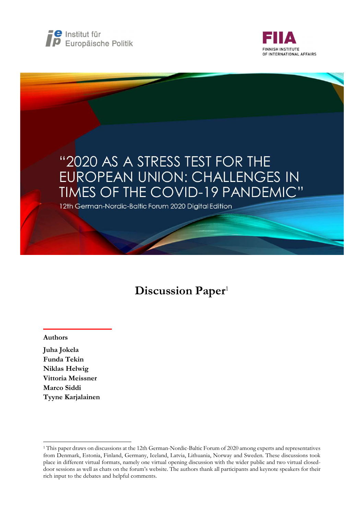



# "2020 AS A STRESS TEST FOR THE EUROPEAN UNION: CHALLENGES IN TIMES OF THE COVID-19 PANDEMIC" 12th German-Nordic-Baltic Forum 2020 Digital Edition

# Discussion Paper<sup>1</sup>

#### Authors

-

Juha Jokela Funda Tekin Niklas Helwig Vittoria Meissner Marco Siddi Tyyne Karjalainen

<sup>1</sup> This paper draws on discussions at the 12th German-Nordic-Baltic Forum of 2020 among experts and representatives from Denmark, Estonia, Finland, Germany, Iceland, Latvia, Lithuania, Norway and Sweden. These discussions took place in different virtual formats, namely one virtual opening discussion with the wider public and two virtual closeddoor sessions as well as chats on the forum's website. The authors thank all participants and keynote speakers for their rich input to the debates and helpful comments.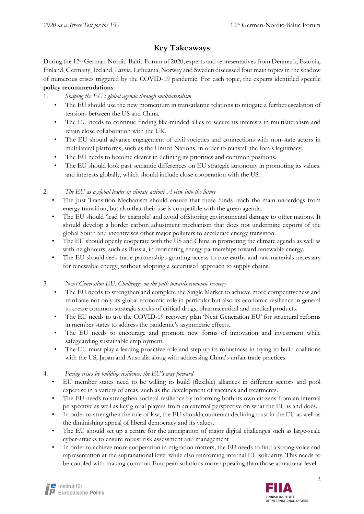## Key Takeaways

During the 12<sup>th</sup> German-Nordic-Baltic Forum of 2020, experts and representatives from Denmark, Estonia, Finland, Germany, Iceland, Latvia, Lithuania, Norway and Sweden discussed four main topics in the shadow of numerous crises triggered by the COVID-19 pandemic. For each topic, the experts identified specific policy recommendations:

## 1. Shaping the EU's global agenda through multilateralism

- The EU should use the new momentum in transatlantic relations to mitigate a further escalation of tensions between the US and China.
- The EU needs to continue finding like-minded allies to secure its interests in multilateralism and retain close collaboration with the UK.
- The EU should advance engagement of civil societies and connections with non-state actors in multilateral platforms, such as the United Nations, in order to reinstall the fora's legitimacy.
- The EU needs to become clearer in defining its priorities and common positions.
- The EU should look past semantic differences on EU strategic autonomy in promoting its values. and interests globally, which should include close cooperation with the US.

#### 2. The EU as a global leader in climate action? A view into the future

- The Just Transition Mechanism should ensure that these funds reach the main underdogs from energy transition, but also that their use is compatible with the green agenda.
- The EU should 'lead by example' and avoid offshoring environmental damage to other nations. It should develop a border carbon adjustment mechanism that does not undermine exports of the global South and incentivises other major polluters to accelerate energy transition.
- The EU should openly cooperate with the US and China in promoting the climate agenda as well as with neighbours, such as Russia, in reorienting energy partnerships toward renewable energy.
- The EU should seek trade partnerships granting access to rare earths and raw materials necessary for renewable energy, without adopting a securitised approach to supply chains.

#### 3. Next Generation EU: Challenges on the path towards economic recovery

- The EU needs to strengthen and complete the Single Market to achieve more competitiveness and reinforce not only its global economic role in particular but also its economic resilience in general to create common strategic stocks of critical drugs, pharmaceutical and medical products.
- The EU needs to use the COVID-19 recovery plan 'Next Generation EU' for structural reforms in member states to address the pandemic's asymmetric effects.
- The EU needs to encourage and promote new forms of innovation and investment while safeguarding sustainable employment.
- The EU must play a leading proactive role and step up its robustness in trying to build coalitions with the US, Japan and Australia along with addressing China's unfair trade practices.

#### 4. Facing crises by building resilience: the EU's way forward

- EU member states need to be willing to build (flexible) alliances in different sectors and pool expertise in a variety of areas, such as the development of vaccines and treatments.
- The EU needs to strengthen societal resilience by informing both its own citizens from an internal perspective as well as key global players from an external perspective on what the EU is and does.
- In order to strengthen the rule of law, the EU should counteract declining trust in the EU as well as the diminishing appeal of liberal democracy and its values.
- The EU should set up a centre for the anticipation of major digital challenges such as large-scale cyber-attacks to ensure robust risk assessment and management
- In order to achieve more cooperation in migration matters, the EU needs to find a strong voice and representation at the supranational level while also reinforcing internal EU solidarity. This needs to be coupled with making common European solutions more appealing than those at national level.

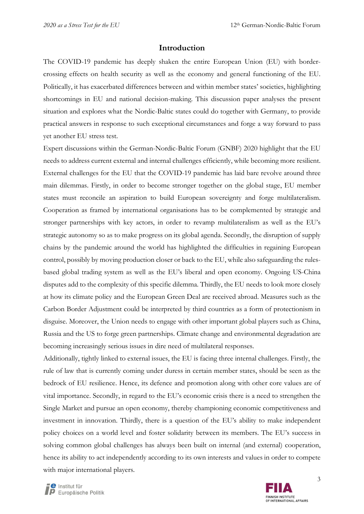#### Introduction

The COVID-19 pandemic has deeply shaken the entire European Union (EU) with bordercrossing effects on health security as well as the economy and general functioning of the EU. Politically, it has exacerbated differences between and within member states' societies, highlighting shortcomings in EU and national decision-making. This discussion paper analyses the present situation and explores what the Nordic-Baltic states could do together with Germany, to provide practical answers in response to such exceptional circumstances and forge a way forward to pass yet another EU stress test.

Expert discussions within the German-Nordic-Baltic Forum (GNBF) 2020 highlight that the EU needs to address current external and internal challenges efficiently, while becoming more resilient. External challenges for the EU that the COVID-19 pandemic has laid bare revolve around three main dilemmas. Firstly, in order to become stronger together on the global stage, EU member states must reconcile an aspiration to build European sovereignty and forge multilateralism. Cooperation as framed by international organisations has to be complemented by strategic and stronger partnerships with key actors, in order to revamp multilateralism as well as the EU's strategic autonomy so as to make progress on its global agenda. Secondly, the disruption of supply chains by the pandemic around the world has highlighted the difficulties in regaining European control, possibly by moving production closer or back to the EU, while also safeguarding the rulesbased global trading system as well as the EU's liberal and open economy. Ongoing US-China disputes add to the complexity of this specific dilemma. Thirdly, the EU needs to look more closely at how its climate policy and the European Green Deal are received abroad. Measures such as the Carbon Border Adjustment could be interpreted by third countries as a form of protectionism in disguise. Moreover, the Union needs to engage with other important global players such as China, Russia and the US to forge green partnerships. Climate change and environmental degradation are becoming increasingly serious issues in dire need of multilateral responses.

Additionally, tightly linked to external issues, the EU is facing three internal challenges. Firstly, the rule of law that is currently coming under duress in certain member states, should be seen as the bedrock of EU resilience. Hence, its defence and promotion along with other core values are of vital importance. Secondly, in regard to the EU's economic crisis there is a need to strengthen the Single Market and pursue an open economy, thereby championing economic competitiveness and investment in innovation. Thirdly, there is a question of the EU's ability to make independent policy choices on a world level and foster solidarity between its members. The EU's success in solving common global challenges has always been built on internal (and external) cooperation, hence its ability to act independently according to its own interests and values in order to compete with major international players.

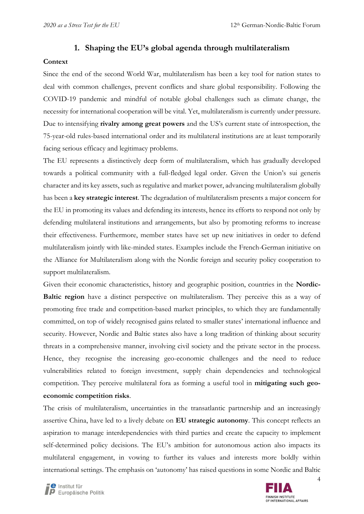#### 1. Shaping the EU's global agenda through multilateralism

#### **Context**

Since the end of the second World War, multilateralism has been a key tool for nation states to deal with common challenges, prevent conflicts and share global responsibility. Following the COVID-19 pandemic and mindful of notable global challenges such as climate change, the necessity for international cooperation will be vital. Yet, multilateralism is currently under pressure. Due to intensifying rivalry among great powers and the US's current state of introspection, the 75-year-old rules-based international order and its multilateral institutions are at least temporarily facing serious efficacy and legitimacy problems.

The EU represents a distinctively deep form of multilateralism, which has gradually developed towards a political community with a full-fledged legal order. Given the Union's sui generis character and its key assets, such as regulative and market power, advancing multilateralism globally has been a key strategic interest. The degradation of multilateralism presents a major concern for the EU in promoting its values and defending its interests, hence its efforts to respond not only by defending multilateral institutions and arrangements, but also by promoting reforms to increase their effectiveness. Furthermore, member states have set up new initiatives in order to defend multilateralism jointly with like-minded states. Examples include the French-German initiative on the Alliance for Multilateralism along with the Nordic foreign and security policy cooperation to support multilateralism.

Given their economic characteristics, history and geographic position, countries in the Nordic-Baltic region have a distinct perspective on multilateralism. They perceive this as a way of promoting free trade and competition-based market principles, to which they are fundamentally committed, on top of widely recognised gains related to smaller states' international influence and security. However, Nordic and Baltic states also have a long tradition of thinking about security threats in a comprehensive manner, involving civil society and the private sector in the process. Hence, they recognise the increasing geo-economic challenges and the need to reduce vulnerabilities related to foreign investment, supply chain dependencies and technological competition. They perceive multilateral fora as forming a useful tool in mitigating such geoeconomic competition risks.

The crisis of multilateralism, uncertainties in the transatlantic partnership and an increasingly assertive China, have led to a lively debate on EU strategic autonomy. This concept reflects an aspiration to manage interdependencies with third parties and create the capacity to implement self-determined policy decisions. The EU's ambition for autonomous action also impacts its multilateral engagement, in vowing to further its values and interests more boldly within international settings. The emphasis on 'autonomy' has raised questions in some Nordic and Baltic

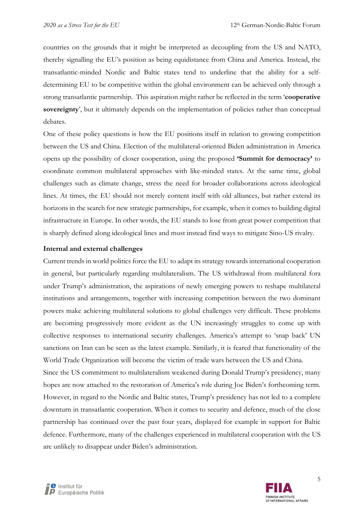countries on the grounds that it might be interpreted as decoupling from the US and NATO, thereby signalling the EU's position as being equidistance from China and America. Instead, the transatlantic-minded Nordic and Baltic states tend to underline that the ability for a selfdetermining EU to be competitive within the global environment can be achieved only through a strong transatlantic partnership. This aspiration might rather be reflected in the term 'cooperative sovereignty', but it ultimately depends on the implementation of policies rather than conceptual debates.

One of these policy questions is how the EU positions itself in relation to growing competition between the US and China. Election of the multilateral-oriented Biden administration in America opens up the possibility of closer cooperation, using the proposed 'Summit for democracy' to coordinate common multilateral approaches with like-minded states. At the same time, global challenges such as climate change, stress the need for broader collaborations across ideological lines. At times, the EU should not merely content itself with old alliances, but rather extend its horizons in the search for new strategic partnerships, for example, when it comes to building digital infrastructure in Europe. In other words, the EU stands to lose from great power competition that is sharply defined along ideological lines and must instead find ways to mitigate Sino-US rivalry.

#### Internal and external challenges

Current trends in world politics force the EU to adapt its strategy towards international cooperation in general, but particularly regarding multilateralism. The US withdrawal from multilateral fora under Trump's administration, the aspirations of newly emerging powers to reshape multilateral institutions and arrangements, together with increasing competition between the two dominant powers make achieving multilateral solutions to global challenges very difficult. These problems are becoming progressively more evident as the UN increasingly struggles to come up with collective responses to international security challenges. America's attempt to 'snap back' UN sanctions on Iran can be seen as the latest example. Similarly, it is feared that functionality of the World Trade Organization will become the victim of trade wars between the US and China.

Since the US commitment to multilateralism weakened during Donald Trump's presidency, many hopes are now attached to the restoration of America's role during Joe Biden's forthcoming term. However, in regard to the Nordic and Baltic states, Trump's presidency has not led to a complete downturn in transatlantic cooperation. When it comes to security and defence, much of the close partnership has continued over the past four years, displayed for example in support for Baltic defence. Furthermore, many of the challenges experienced in multilateral cooperation with the US are unlikely to disappear under Biden's administration.



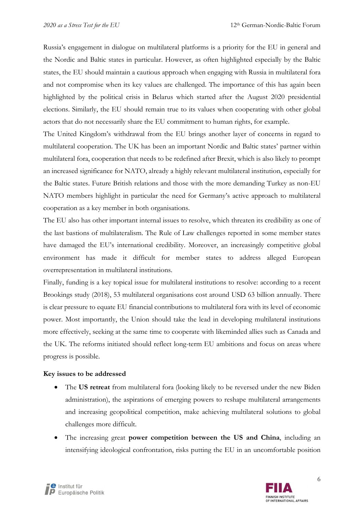Russia's engagement in dialogue on multilateral platforms is a priority for the EU in general and the Nordic and Baltic states in particular. However, as often highlighted especially by the Baltic states, the EU should maintain a cautious approach when engaging with Russia in multilateral fora and not compromise when its key values are challenged. The importance of this has again been highlighted by the political crisis in Belarus which started after the August 2020 presidential elections. Similarly, the EU should remain true to its values when cooperating with other global actors that do not necessarily share the EU commitment to human rights, for example.

The United Kingdom's withdrawal from the EU brings another layer of concerns in regard to multilateral cooperation. The UK has been an important Nordic and Baltic states' partner within multilateral fora, cooperation that needs to be redefined after Brexit, which is also likely to prompt an increased significance for NATO, already a highly relevant multilateral institution, especially for the Baltic states. Future British relations and those with the more demanding Turkey as non-EU NATO members highlight in particular the need for Germany's active approach to multilateral cooperation as a key member in both organisations.

The EU also has other important internal issues to resolve, which threaten its credibility as one of the last bastions of multilateralism. The Rule of Law challenges reported in some member states have damaged the EU's international credibility. Moreover, an increasingly competitive global environment has made it difficult for member states to address alleged European overrepresentation in multilateral institutions.

Finally, funding is a key topical issue for multilateral institutions to resolve: according to a recent Brookings study (2018), 53 multilateral organisations cost around USD 63 billion annually. There is clear pressure to equate EU financial contributions to multilateral fora with its level of economic power. Most importantly, the Union should take the lead in developing multilateral institutions more effectively, seeking at the same time to cooperate with likeminded allies such as Canada and the UK. The reforms initiated should reflect long-term EU ambitions and focus on areas where progress is possible.

#### Key issues to be addressed

- The US retreat from multilateral fora (looking likely to be reversed under the new Biden administration), the aspirations of emerging powers to reshape multilateral arrangements and increasing geopolitical competition, make achieving multilateral solutions to global challenges more difficult.
- The increasing great power competition between the US and China, including an intensifying ideological confrontation, risks putting the EU in an uncomfortable position

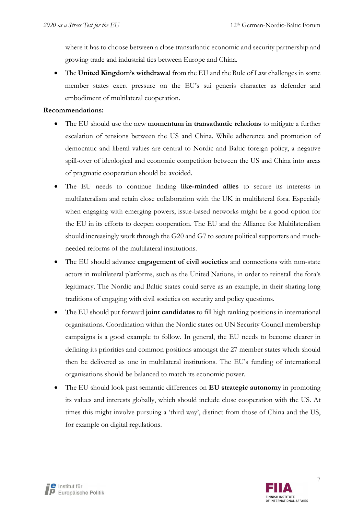where it has to choose between a close transatlantic economic and security partnership and growing trade and industrial ties between Europe and China.

• The United Kingdom's withdrawal from the EU and the Rule of Law challenges in some member states exert pressure on the EU's sui generis character as defender and embodiment of multilateral cooperation.

#### Recommendations:

- The EU should use the new **momentum in transatlantic relations** to mitigate a further escalation of tensions between the US and China. While adherence and promotion of democratic and liberal values are central to Nordic and Baltic foreign policy, a negative spill-over of ideological and economic competition between the US and China into areas of pragmatic cooperation should be avoided.
- The EU needs to continue finding like-minded allies to secure its interests in multilateralism and retain close collaboration with the UK in multilateral fora. Especially when engaging with emerging powers, issue-based networks might be a good option for the EU in its efforts to deepen cooperation. The EU and the Alliance for Multilateralism should increasingly work through the G20 and G7 to secure political supporters and muchneeded reforms of the multilateral institutions.
- The EU should advance **engagement of civil societies** and connections with non-state actors in multilateral platforms, such as the United Nations, in order to reinstall the fora's legitimacy. The Nordic and Baltic states could serve as an example, in their sharing long traditions of engaging with civil societies on security and policy questions.
- The EU should put forward joint candidates to fill high ranking positions in international organisations. Coordination within the Nordic states on UN Security Council membership campaigns is a good example to follow. In general, the EU needs to become clearer in defining its priorities and common positions amongst the 27 member states which should then be delivered as one in multilateral institutions. The EU's funding of international organisations should be balanced to match its economic power.
- The EU should look past semantic differences on **EU strategic autonomy** in promoting its values and interests globally, which should include close cooperation with the US. At times this might involve pursuing a 'third way', distinct from those of China and the US, for example on digital regulations.

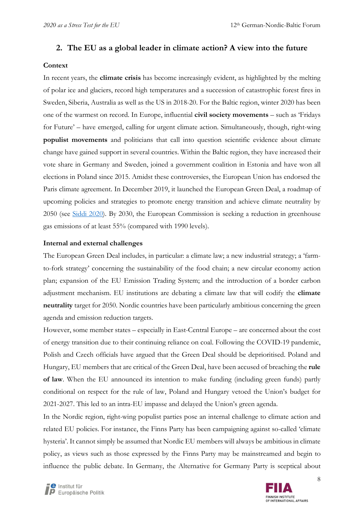## 2. The EU as a global leader in climate action? A view into the future

#### **Context**

In recent years, the **climate crisis** has become increasingly evident, as highlighted by the melting of polar ice and glaciers, record high temperatures and a succession of catastrophic forest fires in Sweden, Siberia, Australia as well as the US in 2018-20. For the Baltic region, winter 2020 has been one of the warmest on record. In Europe, influential civil society movements – such as 'Fridays for Future' – have emerged, calling for urgent climate action. Simultaneously, though, right-wing populist movements and politicians that call into question scientific evidence about climate change have gained support in several countries. Within the Baltic region, they have increased their vote share in Germany and Sweden, joined a government coalition in Estonia and have won all elections in Poland since 2015. Amidst these controversies, the European Union has endorsed the Paris climate agreement. In December 2019, it launched the European Green Deal, a roadmap of upcoming policies and strategies to promote energy transition and achieve climate neutrality by 2050 (see [Siddi 2020](https://www.fiia.fi/wp-content/uploads/2020/05/wp114_european-green-deal.pdf)). By 2030, the European Commission is seeking a reduction in greenhouse gas emissions of at least 55% (compared with 1990 levels).

#### Internal and external challenges

The European Green Deal includes, in particular: a climate law; a new industrial strategy; a 'farmto-fork strategy' concerning the sustainability of the food chain; a new circular economy action plan; expansion of the EU Emission Trading System; and the introduction of a border carbon adjustment mechanism. EU institutions are debating a climate law that will codify the climate neutrality target for 2050. Nordic countries have been particularly ambitious concerning the green agenda and emission reduction targets.

However, some member states – especially in East-Central Europe – are concerned about the cost of energy transition due to their continuing reliance on coal. Following the COVID-19 pandemic, Polish and Czech officials have argued that the Green Deal should be deprioritised. Poland and Hungary, EU members that are critical of the Green Deal, have been accused of breaching the rule of law. When the EU announced its intention to make funding (including green funds) partly conditional on respect for the rule of law, Poland and Hungary vetoed the Union's budget for 2021-2027. This led to an intra-EU impasse and delayed the Union's green agenda.

In the Nordic region, right-wing populist parties pose an internal challenge to climate action and related EU policies. For instance, the Finns Party has been campaigning against so-called 'climate hysteria'. It cannot simply be assumed that Nordic EU members will always be ambitious in climate policy, as views such as those expressed by the Finns Party may be mainstreamed and begin to influence the public debate. In Germany, the Alternative for Germany Party is sceptical about

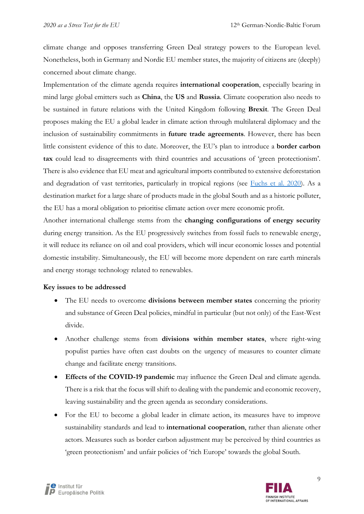climate change and opposes transferring Green Deal strategy powers to the European level. Nonetheless, both in Germany and Nordic EU member states, the majority of citizens are (deeply) concerned about climate change.

Implementation of the climate agenda requires international cooperation, especially bearing in mind large global emitters such as China, the US and Russia. Climate cooperation also needs to be sustained in future relations with the United Kingdom following Brexit. The Green Deal proposes making the EU a global leader in climate action through multilateral diplomacy and the inclusion of sustainability commitments in **future trade agreements**. However, there has been little consistent evidence of this to date. Moreover, the EU's plan to introduce a border carbon tax could lead to disagreements with third countries and accusations of 'green protectionism'. There is also evidence that EU meat and agricultural imports contributed to extensive deforestation and degradation of vast territories, particularly in tropical regions (se[e Fuchs et al. 2020\)](https://www.nature.com/articles/d41586-020-02991-1). As a destination market for a large share of products made in the global South and as a historic polluter, the EU has a moral obligation to prioritise climate action over mere economic profit.

Another international challenge stems from the changing configurations of energy security during energy transition. As the EU progressively switches from fossil fuels to renewable energy, it will reduce its reliance on oil and coal providers, which will incur economic losses and potential domestic instability. Simultaneously, the EU will become more dependent on rare earth minerals and energy storage technology related to renewables.

#### Key issues to be addressed

- The EU needs to overcome **divisions between member states** concerning the priority and substance of Green Deal policies, mindful in particular (but not only) of the East-West divide.
- Another challenge stems from divisions within member states, where right-wing populist parties have often cast doubts on the urgency of measures to counter climate change and facilitate energy transitions.
- Effects of the COVID-19 pandemic may influence the Green Deal and climate agenda. There is a risk that the focus will shift to dealing with the pandemic and economic recovery, leaving sustainability and the green agenda as secondary considerations.
- For the EU to become a global leader in climate action, its measures have to improve sustainability standards and lead to international cooperation, rather than alienate other actors. Measures such as border carbon adjustment may be perceived by third countries as 'green protectionism' and unfair policies of 'rich Europe' towards the global South.



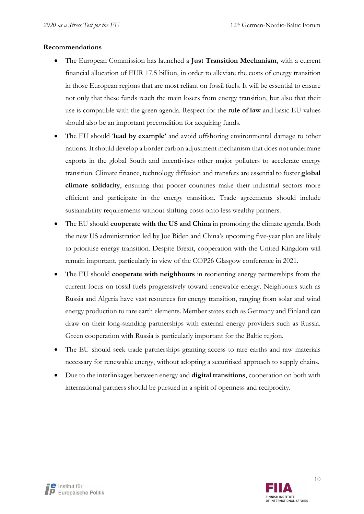#### Recommendations

- The European Commission has launched a Just Transition Mechanism, with a current financial allocation of EUR 17.5 billion, in order to alleviate the costs of energy transition in those European regions that are most reliant on fossil fuels. It will be essential to ensure not only that these funds reach the main losers from energy transition, but also that their use is compatible with the green agenda. Respect for the rule of law and basic EU values should also be an important precondition for acquiring funds.
- The EU should 'lead by example' and avoid offshoring environmental damage to other nations. It should develop a border carbon adjustment mechanism that does not undermine exports in the global South and incentivises other major polluters to accelerate energy transition. Climate finance, technology diffusion and transfers are essential to foster global climate solidarity, ensuring that poorer countries make their industrial sectors more efficient and participate in the energy transition. Trade agreements should include sustainability requirements without shifting costs onto less wealthy partners.
- The EU should **cooperate with the US and China** in promoting the climate agenda. Both the new US administration led by Joe Biden and China's upcoming five-year plan are likely to prioritise energy transition. Despite Brexit, cooperation with the United Kingdom will remain important, particularly in view of the COP26 Glasgow conference in 2021.
- The EU should **cooperate with neighbours** in reorienting energy partnerships from the current focus on fossil fuels progressively toward renewable energy. Neighbours such as Russia and Algeria have vast resources for energy transition, ranging from solar and wind energy production to rare earth elements. Member states such as Germany and Finland can draw on their long-standing partnerships with external energy providers such as Russia. Green cooperation with Russia is particularly important for the Baltic region.
- The EU should seek trade partnerships granting access to rare earths and raw materials necessary for renewable energy, without adopting a securitised approach to supply chains.
- Due to the interlinkages between energy and **digital transitions**, cooperation on both with international partners should be pursued in a spirit of openness and reciprocity.

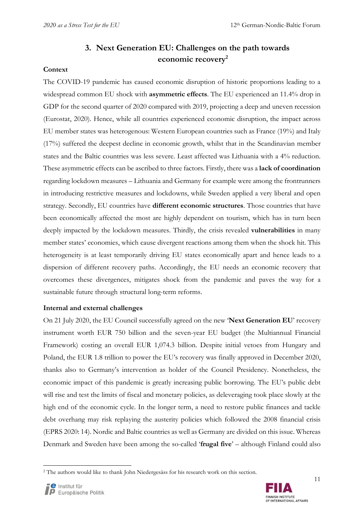# 3. Next Generation EU: Challenges on the path towards economic recovery<sup>2</sup>

#### **Context**

The COVID-19 pandemic has caused economic disruption of historic proportions leading to a widespread common EU shock with **asymmetric effects**. The EU experienced an 11.4% drop in GDP for the second quarter of 2020 compared with 2019, projecting a deep and uneven recession (Eurostat, 2020). Hence, while all countries experienced economic disruption, the impact across EU member states was heterogenous: Western European countries such as France (19%) and Italy (17%) suffered the deepest decline in economic growth, whilst that in the Scandinavian member states and the Baltic countries was less severe. Least affected was Lithuania with a 4% reduction. These asymmetric effects can be ascribed to three factors. Firstly, there was a lack of coordination regarding lockdown measures – Lithuania and Germany for example were among the frontrunners in introducing restrictive measures and lockdowns, while Sweden applied a very liberal and open strategy. Secondly, EU countries have **different economic structures**. Those countries that have been economically affected the most are highly dependent on tourism, which has in turn been deeply impacted by the lockdown measures. Thirdly, the crisis revealed vulnerabilities in many member states' economies, which cause divergent reactions among them when the shock hit. This heterogeneity is at least temporarily driving EU states economically apart and hence leads to a dispersion of different recovery paths. Accordingly, the EU needs an economic recovery that overcomes these divergences, mitigates shock from the pandemic and paves the way for a sustainable future through structural long-term reforms.

#### Internal and external challenges

On 21 July 2020, the EU Council successfully agreed on the new 'Next Generation EU' recovery instrument worth EUR 750 billion and the seven-year EU budget (the Multiannual Financial Framework) costing an overall EUR 1,074.3 billion. Despite initial vetoes from Hungary and Poland, the EUR 1.8 trillion to power the EU's recovery was finally approved in December 2020, thanks also to Germany's intervention as holder of the Council Presidency. Nonetheless, the economic impact of this pandemic is greatly increasing public borrowing. The EU's public debt will rise and test the limits of fiscal and monetary policies, as deleveraging took place slowly at the high end of the economic cycle. In the longer term, a need to restore public finances and tackle debt overhang may risk replaying the austerity policies which followed the 2008 financial crisis (EPRS 2020: 14). Nordic and Baltic countries as well as Germany are divided on this issue. Whereas Denmark and Sweden have been among the so-called 'frugal five' – although Finland could also



<sup>&</sup>lt;sup>2</sup> The authors would like to thank John Niedergesäss for his research work on this section.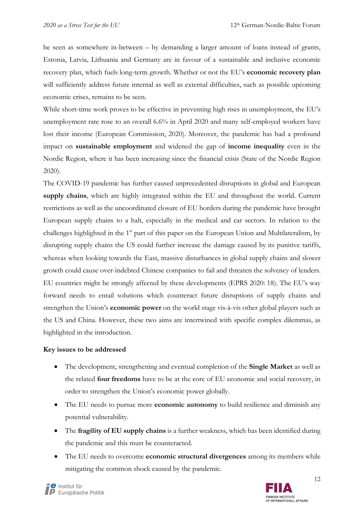be seen as somewhere in-between – by demanding a larger amount of loans instead of grants, Estonia, Latvia, Lithuania and Germany are in favour of a sustainable and inclusive economic recovery plan, which fuels long-term growth. Whether or not the EU's economic recovery plan will sufficiently address future internal as well as external difficulties, such as possible upcoming economic crises, remains to be seen.

While short-time work proves to be effective in preventing high rises in unemployment, the EU's unemployment rate rose to an overall 6.6% in April 2020 and many self-employed workers have lost their income (European Commission, 2020). Moreover, the pandemic has had a profound impact on sustainable employment and widened the gap of income inequality even in the Nordic Region, where it has been increasing since the financial crisis (State of the Nordic Region 2020).

The COVID-19 pandemic has further caused unprecedented disruptions in global and European supply chains, which are highly integrated within the EU and throughout the world. Current restrictions as well as the uncoordinated closure of EU borders during the pandemic have brought European supply chains to a halt, especially in the medical and car sectors. In relation to the challenges highlighted in the  $1<sup>st</sup>$  part of this paper on the European Union and Multilateralism, by disrupting supply chains the US could further increase the damage caused by its punitive tariffs, whereas when looking towards the East, massive disturbances in global supply chains and slower growth could cause over-indebted Chinese companies to fail and threaten the solvency of lenders. EU countries might be strongly affected by these developments (EPRS 2020: 18). The EU's way forward needs to entail solutions which counteract future disruptions of supply chains and strengthen the Union's economic power on the world stage vis-à-vis other global players such as the US and China. However, these two aims are intertwined with specific complex dilemmas, as highlighted in the introduction.

#### Key issues to be addressed

- The development, strengthening and eventual completion of the **Single Market** as well as the related four freedoms have to be at the core of EU economic and social recovery, in order to strengthen the Union's economic power globally.
- The EU needs to pursue more **economic autonomy** to build resilience and diminish any potential vulnerability.
- The fragility of EU supply chains is a further weakness, which has been identified during the pandemic and this must be counteracted.
- The EU needs to overcome economic structural divergences among its members while mitigating the common shock caused by the pandemic.



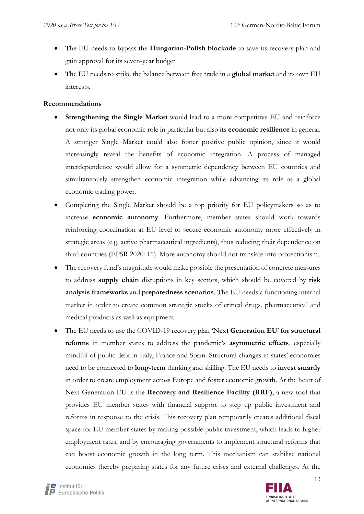- The EU needs to bypass the Hungarian-Polish blockade to save its recovery plan and gain approval for its seven-year budget.
- The EU needs to strike the balance between free trade in a global market and its own EU interests.

#### Recommendations

- Strengthening the Single Market would lead to a more competitive EU and reinforce not only its global economic role in particular but also its **economic resilience** in general. A stronger Single Market could also foster positive public opinion, since it would increasingly reveal the benefits of economic integration. A process of managed interdependence would allow for a symmetric dependency between EU countries and simultaneously strengthen economic integration while advancing its role as a global economic trading power.
- Completing the Single Market should be a top priority for EU policymakers so as to increase economic autonomy. Furthermore, member states should work towards reinforcing coordination at EU level to secure economic autonomy more effectively in strategic areas (e.g. active pharmaceutical ingredients), thus reducing their dependence on third countries (EPSR 2020: 11). More autonomy should not translate into protectionism.
- The recovery fund's magnitude would make possible the presentation of concrete measures to address **supply chain** disruptions in key sectors, which should be covered by risk analysis frameworks and preparedness scenarios. The EU needs a functioning internal market in order to create common strategic stocks of critical drugs, pharmaceutical and medical products as well as equipment.
- The EU needs to use the COVID-19 recovery plan 'Next Generation EU' for structural reforms in member states to address the pandemic's asymmetric effects, especially mindful of public debt in Italy, France and Spain. Structural changes in states' economies need to be connected to **long-term** thinking and skilling. The EU needs to **invest smartly** in order to create employment across Europe and foster economic growth. At the heart of Next Generation EU is the Recovery and Resilience Facility (RRF), a new tool that provides EU member states with financial support to step up public investment and reforms in response to the crisis. This recovery plan temporarily creates additional fiscal space for EU member states by making possible public investment, which leads to higher employment rates, and by encouraging governments to implement structural reforms that can boost economic growth in the long term. This mechanism can stabilise national economies thereby preparing states for any future crises and external challenges. At the

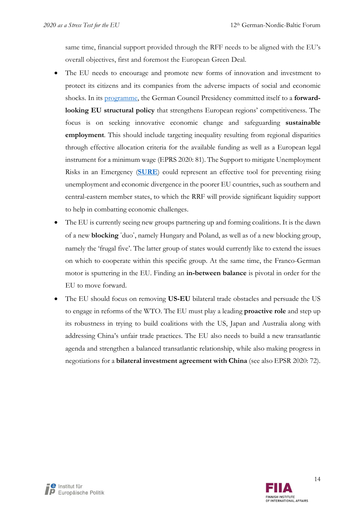same time, financial support provided through the RFF needs to be aligned with the EU's overall objectives, first and foremost the European Green Deal.

- The EU needs to encourage and promote new forms of innovation and investment to protect its citizens and its companies from the adverse impacts of social and economic shocks. In it[s programme](https://www.eu2020.de/blob/2360248/e0312c50f910931819ab67f630d15b2f/06-30-pdf-programm-en-data.pdf), the German Council Presidency committed itself to a forwardlooking EU structural policy that strengthens European regions' competitiveness. The focus is on seeking innovative economic change and safeguarding sustainable employment. This should include targeting inequality resulting from regional disparities through effective allocation criteria for the available funding as well as a European legal instrument for a minimum wage (EPRS 2020: 81). The Support to mitigate Unemployment Risks in an Emergency ([SURE](https://ec.europa.eu/info/business-economy-euro/economic-and-fiscal-policy-coordination/financial-assistance-eu/funding-mechanisms-and-facilities/sure_en)) could represent an effective tool for preventing rising unemployment and economic divergence in the poorer EU countries, such as southern and central-eastern member states, to which the RRF will provide significant liquidity support to help in combatting economic challenges.
- The EU is currently seeing new groups partnering up and forming coalitions. It is the dawn of a new blocking ʿduoʾ, namely Hungary and Poland, as well as of a new blocking group, namely the 'frugal five'. The latter group of states would currently like to extend the issues on which to cooperate within this specific group. At the same time, the Franco-German motor is sputtering in the EU. Finding an in-between balance is pivotal in order for the EU to move forward.
- The EU should focus on removing US-EU bilateral trade obstacles and persuade the US to engage in reforms of the WTO. The EU must play a leading **proactive role** and step up its robustness in trying to build coalitions with the US, Japan and Australia along with addressing China's unfair trade practices. The EU also needs to build a new transatlantic agenda and strengthen a balanced transatlantic relationship, while also making progress in negotiations for a **bilateral investment agreement with China** (see also EPSR 2020: 72).

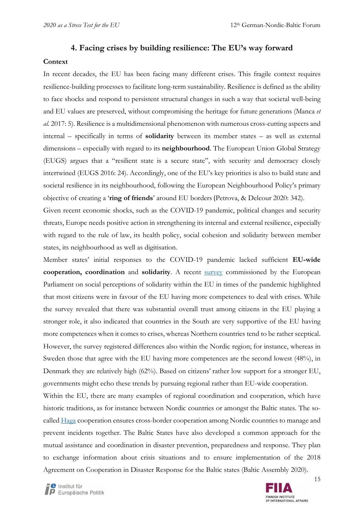#### 4. Facing crises by building resilience: The EU's way forward

#### **Context**

In recent decades, the EU has been facing many different crises. This fragile context requires resilience-building processes to facilitate long-term sustainability. Resilience is defined as the ability to face shocks and respond to persistent structural changes in such a way that societal well-being and EU values are preserved, without compromising the heritage for future generations (Manca et al. 2017: 5). Resilience is a multidimensional phenomenon with numerous cross-cutting aspects and internal – specifically in terms of solidarity between its member states – as well as external dimensions – especially with regard to its **neighbourhood**. The European Union Global Strategy (EUGS) argues that a "resilient state is a secure state", with security and democracy closely intertwined (EUGS 2016: 24). Accordingly, one of the EU's key priorities is also to build state and societal resilience in its neighbourhood, following the European Neighbourhood Policy's primary objective of creating a 'ring of friends' around EU borders (Petrova, & Delcour 2020: 342).

Given recent economic shocks, such as the COVID-19 pandemic, political changes and security threats, Europe needs positive action in strengthening its internal and external resilience, especially with regard to the rule of law, its health policy, social cohesion and solidarity between member states, its neighbourhood as well as digitisation.

Member states' initial responses to the COVID-19 pandemic lacked sufficient EU-wide cooperation, coordination and solidarity. A recent [survey](https://www.europarl.europa.eu/at-your-service/files/be-heard/eurobarometer/2020/public_opinion_in_the_eu_in_time_of_coronavirus_crisis/report/en-covid19-survey-report.pdf) commissioned by the European Parliament on social perceptions of solidarity within the EU in times of the pandemic highlighted that most citizens were in favour of the EU having more competences to deal with crises. While the survey revealed that there was substantial overall trust among citizens in the EU playing a stronger role, it also indicated that countries in the South are very supportive of the EU having more competences when it comes to crises, whereas Northern countries tend to be rather sceptical. However, the survey registered differences also within the Nordic region; for instance, whereas in Sweden those that agree with the EU having more competences are the second lowest (48%), in Denmark they are relatively high (62%). Based on citizens' rather low support for a stronger EU, governments might echo these trends by pursuing regional rather than EU-wide cooperation.

Within the EU, there are many examples of regional coordination and cooperation, which have historic traditions, as for instance between Nordic countries or amongst the Baltic states. The socalle[d Haga](https://www.msb.se/en/about-msb/international-co-operation/nordic-co-operations/) cooperation ensures cross-border cooperation among Nordic countries to manage and prevent incidents together. The Baltic States have also developed a common approach for the mutual assistance and coordination in disaster prevention, preparedness and response. They plan to exchange information about crisis situations and to ensure implementation of the 2018 Agreement on Cooperation in Disaster Response for the Baltic states (Baltic Assembly 2020).

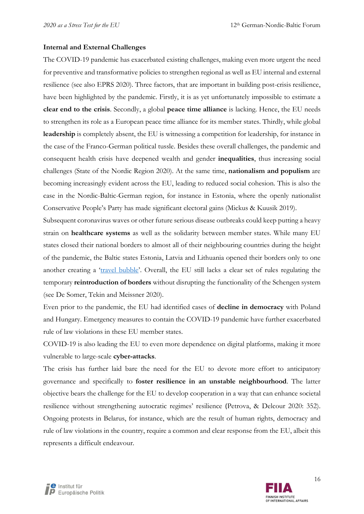#### Internal and External Challenges

The COVID-19 pandemic has exacerbated existing challenges, making even more urgent the need for preventive and transformative policies to strengthen regional as well as EU internal and external resilience (see also EPRS 2020). Three factors, that are important in building post-crisis resilience, have been highlighted by the pandemic. Firstly, it is as yet unfortunately impossible to estimate a clear end to the crisis. Secondly, a global peace time alliance is lacking. Hence, the EU needs to strengthen its role as a European peace time alliance for its member states. Thirdly, while global leadership is completely absent, the EU is witnessing a competition for leadership, for instance in the case of the Franco-German political tussle. Besides these overall challenges, the pandemic and consequent health crisis have deepened wealth and gender inequalities, thus increasing social challenges (State of the Nordic Region 2020). At the same time, nationalism and populism are becoming increasingly evident across the EU, leading to reduced social cohesion. This is also the case in the Nordic-Baltic-German region, for instance in Estonia, where the openly nationalist Conservative People's Party has made significant electoral gains (Mickus & Kuusik 2019).

Subsequent coronavirus waves or other future serious disease outbreaks could keep putting a heavy strain on healthcare systems as well as the solidarity between member states. While many EU states closed their national borders to almost all of their neighbouring countries during the height of the pandemic, the Baltic states Estonia, Latvia and Lithuania opened their borders only to one another creating a ['travel bubble'.](https://www.bbc.com/news/world-europe-52673373) Overall, the EU still lacks a clear set of rules regulating the temporary reintroduction of borders without disrupting the functionality of the Schengen system (see De Somer, Tekin and Meissner 2020).

Even prior to the pandemic, the EU had identified cases of decline in democracy with Poland and Hungary. Emergency measures to contain the COVID-19 pandemic have further exacerbated rule of law violations in these EU member states.

COVID-19 is also leading the EU to even more dependence on digital platforms, making it more vulnerable to large-scale cyber-attacks.

The crisis has further laid bare the need for the EU to devote more effort to anticipatory governance and specifically to foster resilience in an unstable neighbourhood. The latter objective bears the challenge for the EU to develop cooperation in a way that can enhance societal resilience without strengthening autocratic regimes' resilience (Petrova, & Delcour 2020: 352). Ongoing protests in Belarus, for instance, which are the result of human rights, democracy and rule of law violations in the country, require a common and clear response from the EU, albeit this represents a difficult endeavour.

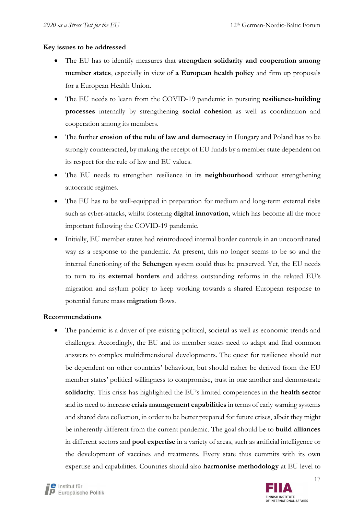#### Key issues to be addressed

- The EU has to identify measures that strengthen solidarity and cooperation among member states, especially in view of a European health policy and firm up proposals for a European Health Union.
- The EU needs to learn from the COVID-19 pandemic in pursuing resilience-building processes internally by strengthening social cohesion as well as coordination and cooperation among its members.
- The further **erosion of the rule of law and democracy** in Hungary and Poland has to be strongly counteracted, by making the receipt of EU funds by a member state dependent on its respect for the rule of law and EU values.
- The EU needs to strengthen resilience in its neighbourhood without strengthening autocratic regimes.
- The EU has to be well-equipped in preparation for medium and long-term external risks such as cyber-attacks, whilst fostering **digital innovation**, which has become all the more important following the COVID-19 pandemic.
- Initially, EU member states had reintroduced internal border controls in an uncoordinated way as a response to the pandemic. At present, this no longer seems to be so and the internal functioning of the Schengen system could thus be preserved. Yet, the EU needs to turn to its external borders and address outstanding reforms in the related EU's migration and asylum policy to keep working towards a shared European response to potential future mass migration flows.

#### Recommendations

 The pandemic is a driver of pre-existing political, societal as well as economic trends and challenges. Accordingly, the EU and its member states need to adapt and find common answers to complex multidimensional developments. The quest for resilience should not be dependent on other countries' behaviour, but should rather be derived from the EU member states' political willingness to compromise, trust in one another and demonstrate solidarity. This crisis has highlighted the EU's limited competences in the health sector and its need to increase crisis management capabilities in terms of early warning systems and shared data collection, in order to be better prepared for future crises, albeit they might be inherently different from the current pandemic. The goal should be to **build alliances** in different sectors and pool expertise in a variety of areas, such as artificial intelligence or the development of vaccines and treatments. Every state thus commits with its own expertise and capabilities. Countries should also **harmonise methodology** at EU level to

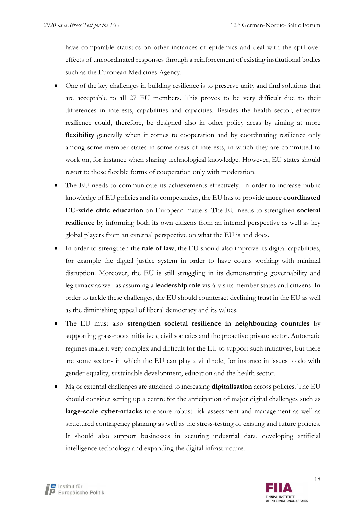have comparable statistics on other instances of epidemics and deal with the spill-over effects of uncoordinated responses through a reinforcement of existing institutional bodies such as the European Medicines Agency.

- One of the key challenges in building resilience is to preserve unity and find solutions that are acceptable to all 27 EU members. This proves to be very difficult due to their differences in interests, capabilities and capacities. Besides the health sector, effective resilience could, therefore, be designed also in other policy areas by aiming at more flexibility generally when it comes to cooperation and by coordinating resilience only among some member states in some areas of interests, in which they are committed to work on, for instance when sharing technological knowledge. However, EU states should resort to these flexible forms of cooperation only with moderation.
- The EU needs to communicate its achievements effectively. In order to increase public knowledge of EU policies and its competencies, the EU has to provide more coordinated EU-wide civic education on European matters. The EU needs to strengthen societal resilience by informing both its own citizens from an internal perspective as well as key global players from an external perspective on what the EU is and does.
- In order to strengthen the **rule of law**, the EU should also improve its digital capabilities, for example the digital justice system in order to have courts working with minimal disruption. Moreover, the EU is still struggling in its demonstrating governability and legitimacy as well as assuming a **leadership role** vis-à-vis its member states and citizens. In order to tackle these challenges, the EU should counteract declining trust in the EU as well as the diminishing appeal of liberal democracy and its values.
- The EU must also strengthen societal resilience in neighbouring countries by supporting grass-roots initiatives, civil societies and the proactive private sector. Autocratic regimes make it very complex and difficult for the EU to support such initiatives, but there are some sectors in which the EU can play a vital role, for instance in issues to do with gender equality, sustainable development, education and the health sector.
- Major external challenges are attached to increasing **digitalisation** across policies. The EU should consider setting up a centre for the anticipation of major digital challenges such as large-scale cyber-attacks to ensure robust risk assessment and management as well as structured contingency planning as well as the stress-testing of existing and future policies. It should also support businesses in securing industrial data, developing artificial intelligence technology and expanding the digital infrastructure.

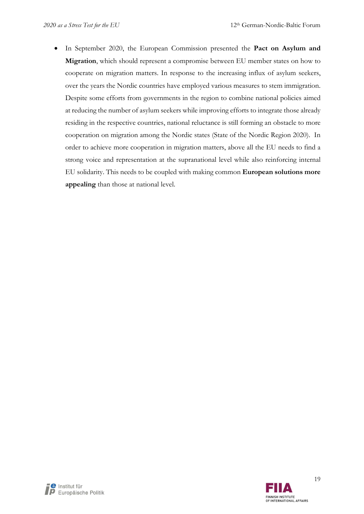In September 2020, the European Commission presented the Pact on Asylum and Migration, which should represent a compromise between EU member states on how to cooperate on migration matters. In response to the increasing influx of asylum seekers, over the years the Nordic countries have employed various measures to stem immigration. Despite some efforts from governments in the region to combine national policies aimed at reducing the number of asylum seekers while improving efforts to integrate those already residing in the respective countries, national reluctance is still forming an obstacle to more cooperation on migration among the Nordic states (State of the Nordic Region 2020). In order to achieve more cooperation in migration matters, above all the EU needs to find a strong voice and representation at the supranational level while also reinforcing internal EU solidarity. This needs to be coupled with making common European solutions more appealing than those at national level.

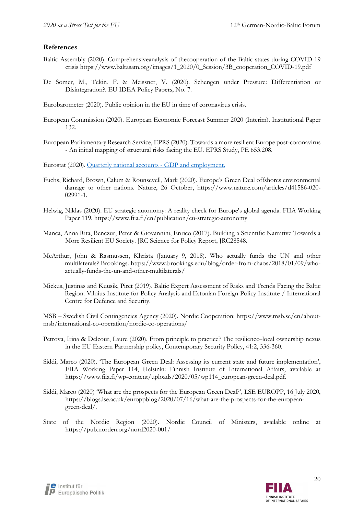#### References

- Baltic Assembly (2020). Comprehensiveanalysis of thecooperation of the Baltic states during COVID-19 crisis https://www.baltasam.org/images/1\_2020/0\_Session/3B\_cooperation\_COVID-19.pdf
- De Somer, M., Tekin, F. & Meissner, V. (2020). Schengen under Pressure: Differentiation or Disintegration?. EU IDEA Policy Papers, No. 7.
- Eurobarometer (2020). Public opinion in the EU in time of coronavirus crisis.
- European Commission (2020). European Economic Forecast Summer 2020 (Interim). Institutional Paper 132.
- European Parliamentary Research Service, EPRS (2020). Towards a more resilient Europe post-coronavirus - An initial mapping of structural risks facing the EU. EPRS Study, PE 653.208.

Eurostat (2020). Quarterly national accounts - GDP and employment.

- Fuchs, Richard, Brown, Calum & Rounsevell, Mark (2020). Europe's Green Deal offshores environmental damage to other nations. Nature, 26 October, https://www.nature.com/articles/d41586-020- 02991-1.
- Helwig, Niklas (2020). EU strategic autonomy: A reality check for Europe's global agenda. FIIA Working Paper 119. https://www.fiia.fi/en/publication/eu-strategic-autonomy
- Manca, Anna Rita, Benczur, Peter & Giovannini, Enrico (2017). Building a Scientific Narrative Towards a More Resilient EU Society. JRC Science for Policy Report, JRC28548.
- McArthur, John & Rasmussen, Khrista (January 9, 2018). Who actually funds the UN and other multilaterals? Brookings. https://www.brookings.edu/blog/order-from-chaos/2018/01/09/whoactually-funds-the-un-and-other-multilaterals/
- Mickus, Justinas and Kuusik, Piret (2019). Baltic Expert Assessment of Risks and Trends Facing the Baltic Region. Vilnius Institute for Policy Analysis and Estonian Foreign Policy Institute / International Centre for Defence and Security.

MSB – Swedish Civil Contingencies Agency (2020). Nordic Cooperation: https://www.msb.se/en/aboutmsb/international-co-operation/nordic-co-operations/

- Petrova, Irina & Delcour, Laure (2020). From principle to practice? The resilience–local ownership nexus in the EU Eastern Partnership policy, Contemporary Security Policy, 41:2, 336-360.
- Siddi, Marco (2020). 'The European Green Deal: Assessing its current state and future implementation', FIIA Working Paper 114, Helsinki: Finnish Institute of International Affairs, available at https://www.fiia.fi/wp-content/uploads/2020/05/wp114\_european-green-deal.pdf.
- Siddi, Marco (2020) 'What are the prospects for the European Green Deal?', LSE EUROPP, 16 July 2020, https://blogs.lse.ac.uk/europpblog/2020/07/16/what-are-the-prospects-for-the-europeangreen-deal/.
- State of the Nordic Region (2020). Nordic Council of Ministers, available online at https://pub.norden.org/nord2020-001/